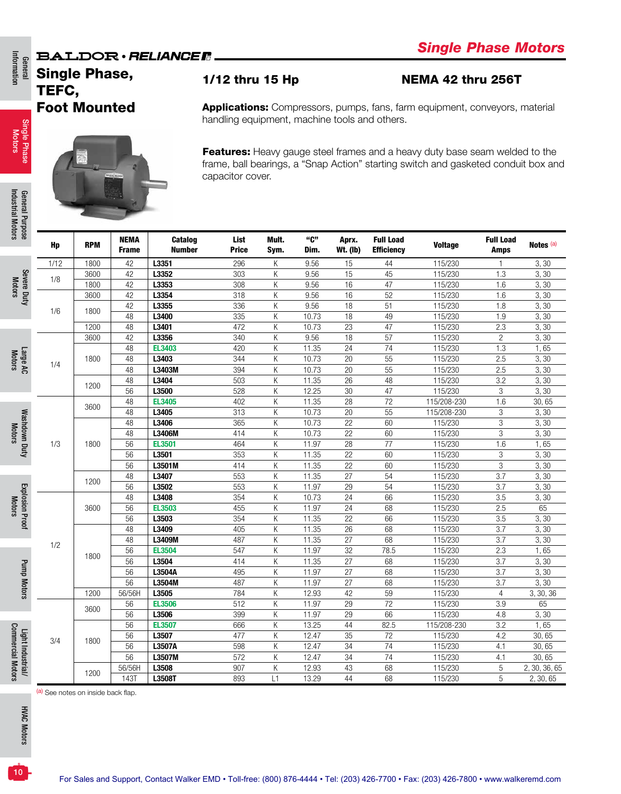### **BALDOR** · RELIANCER

## General<br>Information Single Phase, TEFC, Foot Mounted

Single Phase Single Phase<br>Motors

Information

General Purpose<br>Industrial Motors Industrial Motors General Purpose

Severe Duty Motors

(a) See notes on inside back flap.

**HVAC Motors** HVAC Motors

10

### 1/12 thru 15 Hp NEMA 42 thru 256T

Applications: Compressors, pumps, fans, farm equipment, conveyors, material handling equipment, machine tools and others.

Features: Heavy gauge steel frames and a heavy duty base seam welded to the frame, ball bearings, a "Snap Action" starting switch and gasketed conduit box and capacitor cover.

| OS <sub>C</sub>        | Hp   | <b>RPM</b> | <b>NEMA</b><br><b>Frame</b> | <b>Catalog</b><br><b>Number</b> | List<br><b>Price</b> | Mult.<br>Sym. | "C"<br>Dim. | Aprx.<br><b>Wt. (Ib)</b> | <b>Full Load</b><br><b>Efficiency</b> | <b>Voltage</b> | <b>Full Load</b><br><b>Amps</b> | Notes <sup>(a)</sup> |
|------------------------|------|------------|-----------------------------|---------------------------------|----------------------|---------------|-------------|--------------------------|---------------------------------------|----------------|---------------------------------|----------------------|
|                        | 1/12 | 1800       | 42                          | L3351                           | 296                  | Κ             | 9.56        | 15                       | 44                                    | 115/230        | $\mathbf{1}$                    | 3,30                 |
|                        |      | 3600       | 42                          | L3352                           | 303                  | Κ             | 9.56        | 15                       | 45                                    | 115/230        | 1.3                             | 3,30                 |
| Severe Duty            | 1/8  | 1800       | 42                          | L3353                           | 308                  | Κ             | 9.56        | 16                       | 47                                    | 115/230        | 1.6                             | 3,30                 |
|                        |      | 3600       | 42                          | L3354                           | 318                  | Κ             | 9.56        | 16                       | 52                                    | 115/230        | 1.6                             | 3, 30                |
|                        | 1/6  | 1800       | 42                          | L3355                           | 336                  | Κ             | 9.56        | 18                       | 51                                    | 115/230        | 1.8                             | 3,30                 |
|                        |      |            | 48                          | L3400                           | 335                  | Κ             | 10.73       | 18                       | 49                                    | 115/230        | 1.9                             | 3,30                 |
|                        |      | 1200       | 48                          | L3401                           | 472                  | K             | 10.73       | 23                       | 47                                    | 115/230        | 2.3                             | 3,30                 |
|                        |      | 3600       | 42                          | L3356                           | 340                  | K             | 9.56        | 18                       | 57                                    | 115/230        | $\overline{c}$                  | 3,30                 |
|                        |      |            | 48                          | <b>EL3403</b>                   | 420                  | Κ             | 11.35       | 24                       | 74                                    | 115/230        | 1.3                             | 1,65                 |
| Large AC               | 1/4  | 1800       | 48                          | L3403                           | 344                  | Κ             | 10.73       | 20                       | 55                                    | 115/230        | 2.5                             | 3,30                 |
|                        |      |            | 48                          | L3403M                          | 394                  | Κ             | 10.73       | 20                       | 55                                    | 115/230        | 2.5                             | 3,30                 |
|                        |      | 1200       | 48                          | L3404                           | 503                  | K             | 11.35       | 26                       | 48                                    | 115/230        | 3.2                             | 3,30                 |
|                        |      |            | 56                          | L3500                           | 528                  | K             | 12.25       | 30                       | 47                                    | 115/230        | $\overline{3}$                  | 3,30                 |
|                        |      | 3600       | 48                          | <b>EL3405</b>                   | 402                  | K             | 11.35       | 28                       | 72                                    | 115/208-230    | 1.6                             | 30,65                |
|                        |      |            | 48                          | L3405                           | 313                  | K             | 10.73       | 20                       | 55                                    | 115/208-230    | 3                               | 3,30                 |
| Washdown Duty          |      |            | 48                          | L3406                           | 365                  | K             | 10.73       | $\overline{22}$          | 60                                    | 115/230        | $\,$ 3 $\,$                     | 3, 30                |
|                        |      |            | 48                          | L3406M                          | 414                  | K             | 10.73       | 22                       | 60                                    | 115/230        | 3                               | 3,30                 |
|                        | 1/3  | 1800       | 56                          | <b>EL3501</b>                   | 464                  | Κ             | 11.97       | 28                       | 77                                    | 115/230        | 1.6                             | 1,65                 |
|                        |      |            | 56                          | L3501                           | 353                  | K             | 11.35       | 22                       | 60                                    | 115/230        | 3                               | 3, 30                |
|                        |      |            | 56                          | L3501M                          | 414                  | K             | 11.35       | 22                       | 60                                    | 115/230        | 3                               | 3,30                 |
|                        |      | 1200       | 48                          | L3407                           | 553                  | K             | 11.35       | 27                       | 54                                    | 115/230        | $\overline{3.7}$                | 3,30                 |
|                        |      |            | 56                          | L3502                           | 553                  | K             | 11.97       | 29                       | 54                                    | 115/230        | 3.7                             | 3,30                 |
| <b>Explosion Proof</b> |      |            | 48                          | L3408                           | 354                  | Κ             | 10.73       | 24                       | 66                                    | 115/230        | 3.5                             | 3,30                 |
|                        |      | 3600       | 56                          | <b>EL3503</b>                   | 455                  | K             | 11.97       | 24                       | 68                                    | 115/230        | 2.5                             | 65                   |
|                        |      |            | 56                          | L3503                           | 354                  | K             | 11.35       | 22                       | 66                                    | 115/230        | 3.5                             | 3,30                 |
|                        |      |            | 48                          | L3409                           | 405                  | K             | 11.35       | 26                       | 68                                    | 115/230        | 3.7                             | 3,30                 |
|                        | 1/2  |            | 48                          | L3409M                          | 487                  | K             | 11.35       | 27                       | 68                                    | 115/230        | 3.7                             | 3, 30                |
|                        |      | 1800       | 56                          | <b>EL3504</b>                   | 547                  | K             | 11.97       | 32                       | 78.5                                  | 115/230        | 2.3                             | 1,65                 |
|                        |      |            | 56                          | L3504                           | 414                  | K             | 11.35       | $\overline{27}$          | 68                                    | 115/230        | $\overline{3.7}$                | 3, 30                |
| Pump Motors            |      |            | 56                          | L3504A                          | 495                  | Κ             | 11.97       | $\overline{27}$          | 68                                    | 115/230        | 3.7                             | 3,30                 |
|                        |      |            | 56                          | L3504M                          | 487                  | Κ             | 11.97       | 27                       | 68                                    | 115/230        | 3.7                             | 3, 30                |
|                        |      | 1200       | 56/56H                      | L3505                           | 784                  | Κ             | 12.93       | 42                       | 59                                    | 115/230        | $\overline{4}$                  | 3, 30, 36            |
|                        |      | 3600       | 56                          | <b>EL3506</b>                   | 512                  | K             | 11.97       | 29                       | $\overline{72}$                       | 115/230        | 3.9                             | 65                   |
|                        |      |            | 56                          | L3506                           | 399                  | K             | 11.97       | 29                       | 66                                    | 115/230        | 4.8                             | 3,30                 |
|                        |      |            | 56                          | <b>EL3507</b>                   | 666                  | Κ             | 13.25       | 44                       | 82.5                                  | 115/208-230    | 3.2                             | 1,65                 |
| Light Industrial/      | 3/4  | 1800       | 56                          | L3507                           | 477                  | K             | 12.47       | 35                       | 72                                    | 115/230        | 4.2                             | 30,65                |
|                        |      |            | 56                          | L3507A                          | 598                  | K             | 12.47       | 34                       | 74                                    | 115/230        | 4.1                             | 30,65                |
|                        |      |            | 56                          | L3507M                          | 572                  | Κ             | 12.47       | 34                       | 74                                    | 115/230        | 4.1                             | 30,65                |
|                        |      |            | 56/56H                      | L3508                           | 907                  | Κ             | 12.93       | 43                       | 68                                    | 115/230        | 5                               | 2, 30, 36, 65        |
|                        |      | 1200       | <b>143T</b>                 | L3508T                          | 893                  | L1            | 13.29       | 44                       | 68                                    | 115/230        | 5                               | 2, 30, 65            |

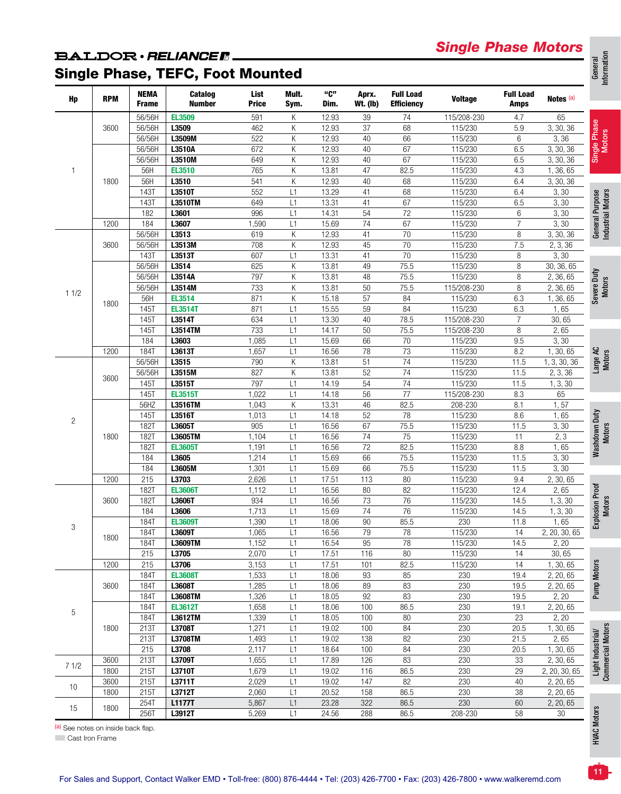## *Single Phase Motors*

## **BALDOR** · RELIANCER.

# Single Phase, TEFC, Foot Mounted

| Hp             | <b>RPM</b> | <b>NEMA</b><br><b>Frame</b> | Catalog<br><b>Number</b> | List<br><b>Price</b> | Mult.<br>Sym. | "C"<br>Dim. | Aprx.<br><b>Wt. (Ib)</b> | <b>Full Load</b><br><b>Efficiency</b> | <b>Voltage</b> | <b>Full Load</b><br>Amps | Notes (a)     |                                        |
|----------------|------------|-----------------------------|--------------------------|----------------------|---------------|-------------|--------------------------|---------------------------------------|----------------|--------------------------|---------------|----------------------------------------|
|                |            | 56/56H                      | <b>EL3509</b>            | 591                  | К             | 12.93       | 39                       | $74$                                  | 115/208-230    | 4.7                      | 65            |                                        |
|                | 3600       | 56/56H                      | L3509                    | 462                  | К             | 12.93       | 37                       | 68                                    | 115/230        | 5.9                      | 3, 30, 36     |                                        |
|                |            | 56/56H                      | L3509M                   | 522                  | К             | 12.93       | 40                       | 66                                    | 115/230        | $6\,$                    | 3,36          |                                        |
|                |            | 56/56H                      | L3510A                   | 672                  | К             | 12.93       | 40                       | 67                                    | 115/230        | 6.5                      | 3, 30, 36     | Single Phase<br>Motors                 |
|                |            | 56/56H                      | L3510M                   | 649                  | К             | 12.93       | 40                       | 67                                    | 115/230        | 6.5                      | 3, 30, 36     |                                        |
| $\mathbf{1}$   |            | 56H                         | <b>EL3510</b>            | 765                  | К             | 13.81       | 47                       | 82.5                                  | 115/230        | 4.3                      | 1, 36, 65     |                                        |
|                | 1800       | 56H                         | L3510                    | 541                  | К             | 12.93       | 40                       | 68                                    | 115/230        | 6.4                      | 3, 30, 36     |                                        |
|                |            | 1431                        | L3510T                   | 552                  | L1            | 13.29       | 41                       | 68                                    | 115/230        | 6.4                      | 3, 30         |                                        |
|                |            | 1431                        | L3510TM                  | 649                  | L1            | 13.31       | 41                       | 67                                    | 115/230        | 6.5                      | 3, 30         |                                        |
|                |            | 182                         | L3601                    | 996                  | L1            | 14.31       | $\overline{54}$          | $\overline{72}$                       | 115/230        | $\,6\,$                  | 3, 30         |                                        |
|                | 1200       | 184                         | L3607                    | 1,590                | L1            | 15.69       | $\overline{74}$          | 67                                    | 115/230        | $\overline{7}$           | 3, 30         |                                        |
|                |            | 56/56H                      | L3513                    | 619                  | К             | 12.93       | 41                       | 70                                    | 115/230        | $\, 8$                   | 3, 30, 36     | General Purpose<br>Industrial Motors   |
|                | 3600       | 56/56H                      | L3513M                   | 708                  | К             | 12.93       | 45                       | $\overline{70}$                       | 115/230        | 7.5                      | 2, 3, 36      |                                        |
|                |            | 1431                        | L3513T                   | 607                  | L1            | 13.31       | 41                       | $\overline{70}$                       | 115/230        | 8                        | 3, 30         |                                        |
|                |            | 56/56H                      | L3514                    | 625                  | К             | 13.81       | 49                       | 75.5                                  | 115/230        | 8                        | 30, 36, 65    |                                        |
|                |            | 56/56H                      | L3514A                   | 797                  | К             | 13.81       | 48                       | 75.5                                  | 115/230        | 8                        | 2, 36, 65     |                                        |
| 11/2           |            | 56/56H                      | L3514M                   | 733                  | К             | 13.81       | 50                       | 75.5                                  | 115/208-230    | $\, 8$                   | 2, 36, 65     |                                        |
|                | 1800       | 56H                         | <b>EL3514</b>            | 871                  | К             | 15.18       | $\overline{57}$          | 84                                    | 115/230        | 6.3                      | 1, 36, 65     | Severe Duty<br>Motors                  |
|                |            | 145T                        | <b>EL3514T</b>           | 871                  | L1            | 15.55       | $\overline{59}$          | 84                                    | 115/230        | 6.3                      | 1,65          |                                        |
|                |            | 1451                        | L3514T                   | 634                  | L1            | 13.30       | 40                       | 78.5                                  | 115/208-230    | $\overline{7}$           | 30, 65        |                                        |
|                |            | 1451                        | L3514TM                  | 733                  | L1            | 14.17       | 50                       | 75.5                                  | 115/208-230    | 8                        | 2,65          |                                        |
|                |            | 184                         | L3603                    | 1,085                | L1            | 15.69       | 66                       | 70                                    | 115/230        | 9.5                      | 3,30          |                                        |
|                | 1200       | <b>184T</b>                 | L3613T                   | 1,657                | L1            | 16.56       | 78                       | 73                                    | 115/230        | 8.2                      | 1, 30, 65     | Large AC<br>Motors                     |
|                |            | 56/56H                      | L3515                    | 790                  | К             | 13.81       | 51                       | 74                                    | 115/230        | 11.5                     | 1, 3, 30, 36  |                                        |
|                | 3600       | 56/56H                      | L3515M                   | 827                  | К             | 13.81       | 52                       | $\overline{74}$                       | 115/230        | 11.5                     | 2, 3, 36      |                                        |
|                |            | 1451                        | L3515T                   | 797                  | L1            | 14.19       | $\overline{54}$          | $\overline{74}$                       | 115/230        | 11.5                     | 1, 3, 30      |                                        |
|                |            | 145T                        | <b>EL3515T</b>           | 1,022                | L1            | 14.18       | 56                       | $\overline{77}$                       | 115/208-230    | 8.3                      | 65            |                                        |
|                |            | 56HZ                        | L3516TM                  | 1,043                | К             | 13.31       | 46                       | 82.5                                  | 208-230        | 8.1                      | 1, 57         |                                        |
| $\overline{c}$ |            | 145T                        | L3516T                   | 1,013                | L1            | 14.18       | 52                       | 78                                    | 115/230        | 8.6                      | 1,65          | Washdown Duty<br>Motors                |
|                |            | 1821                        | L3605T                   | 905                  | L1            | 16.56       | 67                       | 75.5                                  | 115/230        | 11.5                     | 3,30          |                                        |
|                | 1800       | 1821                        | L3605TM                  | 1,104                | L1            | 16.56       | $\overline{74}$          | $\overline{75}$                       | 115/230        | 11                       | 2, 3          |                                        |
|                |            | 1821                        | <b>EL3605T</b>           | 1,191                | L1            | 16.56       | $\overline{72}$          | 82.5                                  | 115/230        | 8.8                      | 1,65          |                                        |
|                |            | 184                         | L3605                    | 1,214                | L1            | 15.69       | 66                       | 75.5                                  | 115/230        | 11.5                     | 3,30          |                                        |
|                |            | 184                         | L3605M                   | 1,301                | L1            | 15.69       | 66                       | 75.5                                  | 115/230        | 11.5                     | 3, 30         |                                        |
|                | 1200       | 215                         | L3703                    | 2,626                | L1            | 17.51       | 113                      | 80                                    | 115/230        | 9.4                      | 2, 30, 65     |                                        |
|                |            | <b>182T</b>                 | <b>EL3606T</b>           | 1,112                | L1            | 16.56       | 80                       | 82                                    | 115/230        | 12.4                     | 2,65          |                                        |
|                | 3600       | <b>182T</b>                 | L3606T                   | 934                  | L1            | 16.56       | 73                       | 76                                    | 115/230        | 14.5                     | 1, 3, 30      |                                        |
|                |            | 184                         | L3606                    | 1,713                | L1            | 15.69       | $\overline{74}$          | $\overline{76}$                       | 115/230        | 14.5                     | 1, 3, 30      |                                        |
| 3              |            | <b>184T</b>                 | <b>EL3609T</b>           | 1,390                | L1            | 18.06       | 90                       | 85.5                                  | 230            | 11.8                     | 1,65          | Explosion Proof<br>Motors              |
|                | 1800       | 1841                        | L3609T                   | 1,065                | L1            | 16.56       | 79                       | 78                                    | 115/230        | 14                       | 2, 20, 30, 65 |                                        |
|                |            | <b>184T</b>                 | <b>L3609TM</b>           | 1,152                | L1            | 16.54       | 95                       | 78                                    | 115/230        | 14.5                     | 2, 20         |                                        |
|                |            | 215                         | L3705                    | 2,070                | L1            | 17.51       | 116                      | 80                                    | 115/230        | 14                       | 30,65         |                                        |
|                | 1200       | 215                         | L3706                    | 3,153                | L1            | 17.51       | 101                      | 82.5                                  | 115/230        | 14                       | 1, 30, 65     | Pump Motors                            |
|                |            | <b>184T</b>                 | <b>EL3608T</b>           | 1,533                | L1            | 18.06       | 93                       | 85                                    | 230            | 19.4                     | 2, 20, 65     |                                        |
|                | 3600       | 1841                        | L3608T                   | 1,285                | L1            | 18.06       | 89                       | 83                                    | 230            | 19.5                     | 2, 20, 65     |                                        |
|                |            | 1841                        | L3608TM                  | 1,326                | L1            | 18.05       | 92                       | 83                                    | 230            | 19.5                     | 2, 20         |                                        |
| 5              |            | 1841                        | <b>EL3612T</b>           | 1,658                | L1            | 18.06       | 100                      | 86.5                                  | 230            | 19.1                     | 2, 20, 65     |                                        |
|                |            | 1841                        | L3612TM                  | 1,339                | L1            | 18.05       | 100                      | 80                                    | 230            | 23                       | 2, 20         |                                        |
|                | 1800       | 213T                        | L3708T                   | 1,271                | L1            | 19.02       | 100                      | 84                                    | 230            | 20.5                     | 1, 30, 65     | Light Industrial/<br>Commercial Motors |
|                |            | 213T                        | L3708TM                  | 1,493                | L1            | 19.02       | 138                      | 82                                    | 230            | 21.5                     | 2,65          |                                        |
|                |            | 215                         | L3708                    | 2,117                | L1            | 18.64       | 100                      | 84                                    | 230            | 20.5                     | 1, 30, 65     |                                        |
| 71/2           | 3600       | 213T                        | L3709T                   | 1,655                | L1            | 17.89       | 126                      | 83                                    | 230            | 33                       | 2, 30, 65     |                                        |
|                | 1800       | 215T                        | L3710T                   | 1,679                | L1            | 19.02       | 116                      | 86.5                                  | 230            | 29                       | 2, 20, 30, 65 |                                        |
| 10             | 3600       | 215T                        | L3711T                   | 2,029                | L1            | 19.02       | 147                      | 82                                    | 230            | 40                       | 2, 20, 65     |                                        |
|                | 1800       | 215T                        | L3712T                   | 2,060                | L1            | 20.52       | 158                      | 86.5                                  | 230            | 38                       | 2, 20, 65     |                                        |
| 15             | 1800       | 254T                        | <b>L1177T</b>            | 5,867                | L1            | 23.28       | 322                      | 86.5                                  | 230            | 60                       | 2, 20, 65     | otrs                                   |
|                |            | 256T                        | L3912T                   | 5,269                | L1            | 24.56       | 288                      | 86.5                                  | 208-230        | 58                       | $30\,$        |                                        |

(a) See notes on inside back flap.

**Constitutes** of Finance

11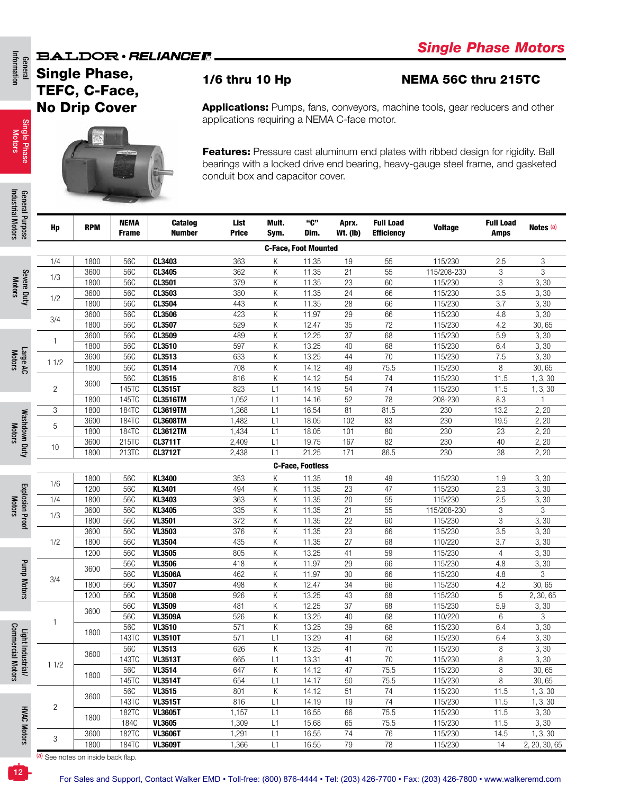### **BALDOR** · RELIANCE F

General<br>Information Information

## Single Phase, TEFC, C-Face, No Drip Cover

Single Phase Motors



General Purpose<br>Industrial Motors Industrial Motors General Purpose

Motors

### 1/6 thru 10 Hp NEMA 56C thru 215TC

Applications: Pumps, fans, conveyors, machine tools, gear reducers and other applications requiring a NEMA C-face motor.

Features: Pressure cast aluminum end plates with ribbed design for rigidity. Ball bearings with a locked drive end bearing, heavy-gauge steel frame, and gasketed conduit box and capacitor cover.

| <b>Purpose</b>         | Hp             | <b>RPM</b> | <b>NEMA</b><br><b>Frame</b> | Catalog<br><b>Number</b> | List<br><b>Price</b> | Mult.<br>Sym. | "C"<br>Dim.                 | Aprx.<br><b>Wt. (Ib)</b> | <b>Full Load</b><br><b>Efficiency</b> | <b>Voltage</b> | <b>Full Load</b><br><b>Amps</b> | Notes <sup>(a)</sup> |
|------------------------|----------------|------------|-----------------------------|--------------------------|----------------------|---------------|-----------------------------|--------------------------|---------------------------------------|----------------|---------------------------------|----------------------|
|                        |                |            |                             |                          |                      |               | <b>C-Face, Foot Mounted</b> |                          |                                       |                |                                 |                      |
|                        | 1/4            | 1800       | 56C                         | CL3403                   | 363                  | Κ             | 11.35                       | 19                       | 55                                    | 115/230        | 2.5                             | 3                    |
|                        |                | 3600       | 56C                         | CL3405                   | 362                  | Κ             | 11.35                       | 21                       | 55                                    | 115/208-230    | 3                               | 3                    |
| Severe Duty            | 1/3            | 1800       | 56C                         | CL3501                   | 379                  | Κ             | 11.35                       | 23                       | 60                                    | 115/230        | 3                               | 3, 30                |
|                        |                | 3600       | 56C                         | CL3503                   | 380                  | Κ             | 11.35                       | 24                       | 66                                    | 115/230        | 3.5                             | 3,30                 |
|                        | 1/2            | 1800       | 56C                         | CL3504                   | 443                  | Κ             | 11.35                       | 28                       | 66                                    | 115/230        | 3.7                             | 3, 30                |
|                        |                | 3600       | 56C                         | CL3506                   | 423                  | Κ             | 11.97                       | 29                       | 66                                    | 115/230        | 4.8                             | 3, 30                |
|                        | 3/4            | 1800       | 56C                         | CL3507                   | 529                  | Κ             | 12.47                       | 35                       | 72                                    | 115/230        | 4.2                             | 30,65                |
|                        | 1              | 3600       | 56C                         | CL3509                   | 489                  | Κ             | 12.25                       | 37                       | 68                                    | 115/230        | 5.9                             | 3, 30                |
|                        |                | 1800       | 56C                         | CL3510                   | 597                  | Κ             | 13.25                       | 40                       | 68                                    | 115/230        | 6.4                             | 3,30                 |
|                        | 11/2           | 3600       | 56C                         | CL3513                   | 633                  | Κ             | 13.25                       | 44                       | 70                                    | 115/230        | 7.5                             | 3,30                 |
| Large AC               |                | 1800       | 56C                         | CL3514                   | 708                  | Κ             | 14.12                       | 49                       | 75.5                                  | 115/230        | 8                               | 30,65                |
|                        |                | 3600       | 56C                         | CL3515                   | 816                  | К             | 14.12                       | 54                       | 74                                    | 115/230        | 11.5                            | 1, 3, 30             |
|                        | $\overline{c}$ |            | 145TC                       | <b>CL3515T</b>           | 823                  | L1            | 14.19                       | 54                       | 74                                    | 115/230        | 11.5                            | 1, 3, 30             |
|                        |                | 1800       | 145TC                       | <b>CL3516TM</b>          | 1,052                | L1            | 14.16                       | 52                       | 78                                    | 208-230        | 8.3                             | 1                    |
|                        | 3              | 1800       | 184TC                       | <b>CL3619TM</b>          | 1,368                | L1            | 16.54                       | 81                       | 81.5                                  | 230            | 13.2                            | 2, 20                |
| Washdown Duty          | 5              | 3600       | 184TC                       | <b>CL3608TM</b>          | 1,482                | L1            | 18.05                       | 102                      | 83                                    | 230            | 19.5                            | 2, 20                |
|                        |                | 1800       | 184TC                       | <b>CL3612TM</b>          | 1,434                | L1            | 18.05                       | 101                      | 80                                    | 230            | 23                              | 2, 20                |
|                        | 10             | 3600       | 215TC                       | <b>CL3711T</b>           | 2,409                | L1            | 19.75                       | 167                      | 82                                    | 230            | 40                              | 2, 20                |
|                        |                | 1800       | 213TC                       | <b>CL3712T</b>           | 2,438                | L1            | 21.25                       | 171                      | 86.5                                  | 230            | 38                              | 2, 20                |
|                        |                |            |                             |                          |                      |               | <b>C-Face, Footless</b>     |                          |                                       |                |                                 |                      |
|                        |                | 1800       | 56C                         | KL3400                   | 353                  | Κ             | 11.35                       | 18                       | 49                                    | 115/230        | 1.9                             | 3,30                 |
|                        | 1/6            | 1200       | 56C                         | KL3401                   | 494                  | Κ             | 11.35                       | 23                       | 47                                    | 115/230        | 2.3                             | 3,30                 |
| <b>Explosion Proof</b> | 1/4            | 1800       | 56C                         | KL3403                   | 363                  | Κ             | 11.35                       | 20                       | 55                                    | 115/230        | 2.5                             | 3, 30                |
|                        |                | 3600       | 56C                         | KL3405                   | 335                  | Κ             | 11.35                       | 21                       | 55                                    | 115/208-230    | 3                               | 3                    |
|                        | 1/3            | 1800       | 56C                         | <b>VL3501</b>            | 372                  | Κ             | 11.35                       | 22                       | 60                                    | 115/230        | 3                               | 3, 30                |
|                        |                | 3600       | 56C                         | <b>VL3503</b>            | 376                  | Κ             | 11.35                       | 23                       | 66                                    | 115/230        | 3.5                             | 3,30                 |
|                        | 1/2            | 1800       | 56C                         | <b>VL3504</b>            | 435                  | Κ             | 11.35                       | 27                       | 68                                    | 110/220        | 3.7                             | 3,30                 |
|                        |                | 1200       | 56C                         | <b>VL3505</b>            | 805                  | Κ             | 13.25                       | 41                       | 59                                    | 115/230        | 4                               | 3,30                 |
|                        |                |            | 56C                         | <b>VL3506</b>            | 418                  | Κ             | 11.97                       | 29                       | 66                                    | 115/230        | 4.8                             | 3,30                 |
|                        |                | 3600       | 56C                         | <b>VL3506A</b>           | 462                  | Κ             | 11.97                       | 30                       | 66                                    | 115/230        | 4.8                             | 3                    |
|                        | 3/4            | 1800       | 56C                         | <b>VL3507</b>            | 498                  | Κ             | 12.47                       | 34                       | 66                                    | 115/230        | 4.2                             | 30,65                |
| Pump Motors            |                | 1200       | 56C                         | <b>VL3508</b>            | 926                  | Κ             | 13.25                       | 43                       | 68                                    | 115/230        | 5                               | 2, 30, 65            |
|                        |                |            | 56C                         | <b>VL3509</b>            | 481                  | Κ             | 12.25                       | 37                       | 68                                    | 115/230        | 5.9                             | 3,30                 |
|                        |                | 3600       | 56C                         | <b>VL3509A</b>           | 526                  | Κ             | 13.25                       | 40                       | 68                                    | 110/220        | 6                               | 3                    |
|                        | $\mathbf{1}$   |            | 56C                         | <b>VL3510</b>            | 571                  | Κ             | 13.25                       | 39                       | 68                                    | 115/230        | 6.4                             | 3,30                 |
|                        |                | 1800       | 143TC                       | <b>VL3510T</b>           | 571                  | L1            | 13.29                       | 41                       | 68                                    | 115/230        | 6.4                             | 3,30                 |
|                        |                |            | 56C                         | <b>VL3513</b>            | 626                  | Κ             | 13.25                       | 41                       | 70                                    | 115/230        | 8                               | 3,30                 |
| Light Industri         |                | 3600       | 143TC                       | <b>VL3513T</b>           | 665                  | L1            | 13.31                       | 41                       | 70                                    | 115/230        | 8                               | 3,30                 |
| 三                      | 11/2           |            | 56C                         | VL3514                   | 647                  | Κ             | 14.12                       | $\overline{47}$          | 75.5                                  | 115/230        | 8                               | 30,65                |
|                        |                | 1800       | 145TC                       | <b>VL3514T</b>           | 654                  | L1            | 14.17                       | 50                       | 75.5                                  | 115/230        | 8                               | 30,65                |
|                        |                |            | 56C                         | <b>VL3515</b>            | 801                  | Κ             | 14.12                       | 51                       | 74                                    | 115/230        | 11.5                            | 1, 3, 30             |
|                        |                | 3600       | 143TC                       | <b>VL3515T</b>           | 816                  | L1            | 14.19                       | 19                       | 74                                    | 115/230        | 11.5                            | 1, 3, 30             |
|                        | $\overline{c}$ |            | 182TC                       | <b>VL3605T</b>           | 1,157                | L1            | 16.55                       | 66                       | 75.5                                  | 115/230        | 11.5                            | 3,30                 |
|                        |                | 1800       | <b>184C</b>                 | <b>VL3605</b>            | 1,309                | L1            | 15.68                       | 65                       | 75.5                                  | 115/230        | 11.5                            | 3,30                 |
| <b>HVAC Motors</b>     |                | 3600       | 182TC                       | <b>VL3606T</b>           | 1,291                | L1            | 16.55                       | $74$                     | 76                                    | 115/230        | 14.5                            | 1, 3, 30             |
|                        | 3              | 1800       | 184TC                       | <b>VL3609T</b>           | 1,366                | L1            | 16.55                       | 79                       | 78                                    | 115/230        | 14                              | 2, 20, 30, 65        |

(a) See notes on inside back flap.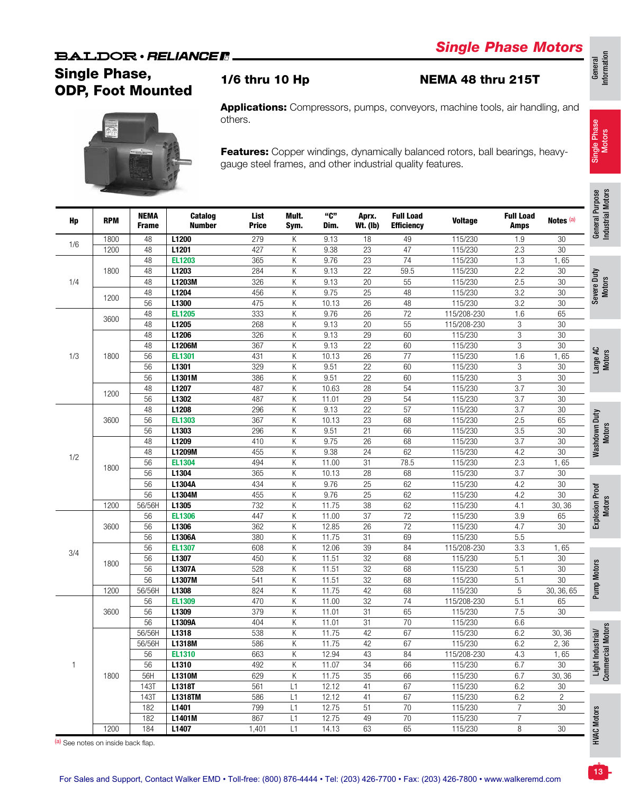## **BALDOR** · RELIANCE F

# *Single Phase Motors*



Applications: Compressors, pumps, conveyors, machine tools, air handling, and others.

Features: Copper windings, dynamically balanced rotors, ball bearings, heavygauge steel frames, and other industrial quality features.

| Hp   | <b>RPM</b> | <b>NEMA</b><br><b>Frame</b> | <b>Catalog</b><br><b>Number</b> | List<br><b>Price</b> | Mult.<br>Sym. | "C"<br>Dim.     | Aprx.<br><b>Wt. (lb)</b> | <b>Full Load</b><br><b>Efficiency</b> | <b>Voltage</b> | <b>Full Load</b><br><b>Amps</b> | Notes (a)       |
|------|------------|-----------------------------|---------------------------------|----------------------|---------------|-----------------|--------------------------|---------------------------------------|----------------|---------------------------------|-----------------|
|      | 1800       | 48                          | L1200                           | 279                  | Κ             | 9.13            | 18                       | 49                                    | 115/230        | 1.9                             | $30\,$          |
| 1/6  | 1200       | 48                          | L1201                           | 427                  | Κ             | 9.38            | $\overline{23}$          | 47                                    | 115/230        | 2.3                             | 30              |
|      |            | 48                          | <b>EL1203</b>                   | 365                  | Κ             | 9.76            | 23                       | $\overline{74}$                       | 115/230        | 1.3                             | 1,65            |
|      | 1800       | 48                          | L1203                           | 284                  | Κ             | 9.13            | $\overline{22}$          | 59.5                                  | 115/230        | 2.2                             | 30              |
| 1/4  |            | 48                          | L1203M                          | 326                  | Κ             | 9.13            | $\overline{20}$          | 55                                    | 115/230        | 2.5                             | 30              |
|      |            | 48                          | L1204                           | 456                  | Κ             | 9.75            | $\overline{25}$          | 48                                    | 115/230        | 3.2                             | 30              |
|      | 1200       | 56                          | L1300                           | 475                  | Κ             | 10.13           | $\overline{26}$          | 48                                    | 115/230        | 3.2                             | 30              |
|      |            | 48                          | <b>EL1205</b>                   | 333                  | Κ             | 9.76            | 26                       | 72                                    | 115/208-230    | 1.6                             | 65              |
| 3600 | 48         | L1205                       | 268                             | Κ                    | 9.13          | $\overline{20}$ | 55                       | 115/208-230                           | 3              | 30                              |                 |
|      |            | 48                          | L1206                           | 326                  | Κ             | 9.13            | 29                       | 60                                    | 115/230        | 3                               | $\overline{30}$ |
|      |            | 48                          | L1206M                          | 367                  | Κ             | 9.13            | $\overline{22}$          | 60                                    | 115/230        | 3                               | 30              |
|      | 1800       | 56                          | <b>EL1301</b>                   | 431                  | Κ             | 10.13           | $\overline{26}$          | 77                                    | 115/230        | 1.6                             | 1,65            |
| 1/3  |            | 56                          | L1301                           | 329                  | Κ             | 9.51            | $\overline{22}$          | 60                                    | 115/230        | 3                               | 30              |
|      |            | 56                          | L1301M                          | 386                  | Κ             | 9.51            | $\overline{22}$          | 60                                    | 115/230        | 3                               | 30              |
|      |            | 48                          | L1207                           | 487                  | Κ             | 10.63           | $\overline{28}$          | 54                                    | 115/230        | 3.7                             | 30              |
|      | 1200       | 56                          | L1302                           | 487                  | Κ             | 11.01           | 29                       | 54                                    | 115/230        | 3.7                             | $30\,$          |
|      |            | 48                          | L1208                           | 296                  | Κ             | 9.13            | $\overline{22}$          | $\overline{57}$                       | 115/230        | 3.7                             | 30              |
|      | 3600       | 56                          | <b>EL1303</b>                   | 367                  | Κ             | 10.13           | $\overline{23}$          | 68                                    | 115/230        | 2.5                             | 65              |
|      |            | 56                          | L1303                           | 296                  | Κ             | 9.51            | $\overline{21}$          | 66                                    | 115/230        | 3.5                             | 30              |
| 1/2  |            | 48                          | L1209                           | 410                  | Κ             | 9.75            | 26                       | 68                                    | 115/230        | $\overline{3.7}$                | 30              |
|      |            | 48                          | L1209M                          | 455                  | Κ             | 9.38            | $\overline{24}$          | 62                                    | 115/230        | 4.2                             | 30              |
|      |            | 56                          | <b>EL1304</b>                   | 494                  | Κ             | 11.00           | $\overline{31}$          | 78.5                                  | 115/230        | 2.3                             | 1,65            |
|      | 1800       | 56                          | L1304                           | 365                  | Κ             | 10.13           | 28                       | 68                                    | 115/230        | 3.7                             | 30              |
|      |            |                             |                                 |                      |               |                 |                          |                                       |                |                                 |                 |
|      |            | 56                          | L1304A                          | 434                  | Κ             | 9.76            | $\overline{25}$          | 62                                    | 115/230        | 4.2                             | $30\,$          |
|      |            | $\overline{56}$             | L1304M                          | 455                  | Κ             | 9.76            | $\overline{25}$          | 62                                    | 115/230        | 4.2                             | $\overline{30}$ |
|      | 1200       | 56/56H                      | L1305                           | 732                  | Κ             | 11.75           | $\overline{38}$          | 62                                    | 115/230        | 4.1                             | 30, 36          |
|      |            | 56                          | <b>EL1306</b>                   | 447                  | Κ             | 11.00           | $\overline{37}$          | $\overline{72}$                       | 115/230        | 3.9                             | 65              |
|      | 3600       | 56                          | L1306                           | 362                  | Κ             | 12.85           | $\overline{26}$          | 72                                    | 115/230        | 4.7                             | 30              |
|      |            | 56                          | L1306A                          | 380                  | Κ             | 11.75           | $\overline{31}$          | 69                                    | 115/230        | 5.5                             |                 |
| 3/4  |            | 56                          | <b>EL1307</b>                   | 608                  | Κ             | 12.06           | $\overline{39}$          | 84                                    | 115/208-230    | 3.3                             | 1,65            |
|      | 1800       | 56                          | L1307                           | 450                  | Κ             | 11.51           | $\overline{32}$          | 68                                    | 115/230        | $\overline{5.1}$                | 30              |
|      |            | 56                          | L1307A                          | 528                  | Κ             | 11.51           | $\overline{32}$          | 68                                    | 115/230        | 5.1                             | 30              |
|      |            | $\overline{56}$             | L1307M                          | 541                  | Κ             | 11.51           | $\overline{32}$          | 68                                    | 115/230        | 5.1                             | 30              |
|      | 1200       | 56/56H                      | L1308                           | 824                  | Κ             | 11.75           | $\overline{42}$          | 68                                    | 115/230        | 5                               | 30, 36, 65      |
|      |            | 56                          | <b>EL1309</b>                   | 470                  | Κ             | 11.00           | $\overline{32}$          | 74                                    | 115/208-230    | 5.1                             | 65              |
|      | 3600       | 56                          | L1309                           | 379                  | Κ             | 11.01           | 31                       | 65                                    | 115/230        | 7.5                             | 30              |
|      |            | $\overline{56}$             | L1309A                          | 404                  | Κ             | 11.01           | $\overline{31}$          | $\overline{70}$                       | 115/230        | 6.6                             |                 |
|      |            | 56/56H                      | L1318                           | 538                  | Κ             | 11.75           | 42                       | 67                                    | 115/230        | 6.2                             | 30, 36          |
|      |            | 56/56H                      | L1318M                          | 586                  | Κ             | 11.75           | 42                       | 67                                    | 115/230        | 6.2                             | 2,36            |
|      |            | 56                          | <b>EL1310</b>                   | 663                  | Κ             | 12.94           | 43                       | 84                                    | 115/208-230    | 4.3                             | 1,65            |
|      |            | 56                          | L1310                           | 492                  | Κ             | 11.07           | 34                       | 66                                    | 115/230        | 6.7                             | $30\,$          |
|      | 1800       | 56H                         | L1310M                          | 629                  | K             | 11.75           | 35                       | 66                                    | 115/230        | 6.7                             | 30, 36          |
|      |            | 143T                        | L1318T                          | 561                  | L1            | 12.12           | 41                       | 67                                    | 115/230        | 6.2                             | $30\,$          |
|      |            | 143T                        | L1318TM                         | 586                  | L1            | 12.12           | 41                       | 67                                    | 115/230        | 6.2                             | 2               |
|      |            | 182                         | L1401                           | 799                  | L1            | 12.75           | 51                       | 70                                    | 115/230        | 7                               | $30\,$          |
|      |            | 182                         | L1401M                          | 867                  | L1            | 12.75           | 49                       | 70                                    | 115/230        | $\overline{7}$                  |                 |
|      | 1200       | 184                         | L1407                           | 1,401                | L1            | 14.13           | 63                       | 65                                    | 115/230        | 8                               | $30\,$          |

(a) See notes on inside back flap.

13

Single Phase Single Phase<br>Motors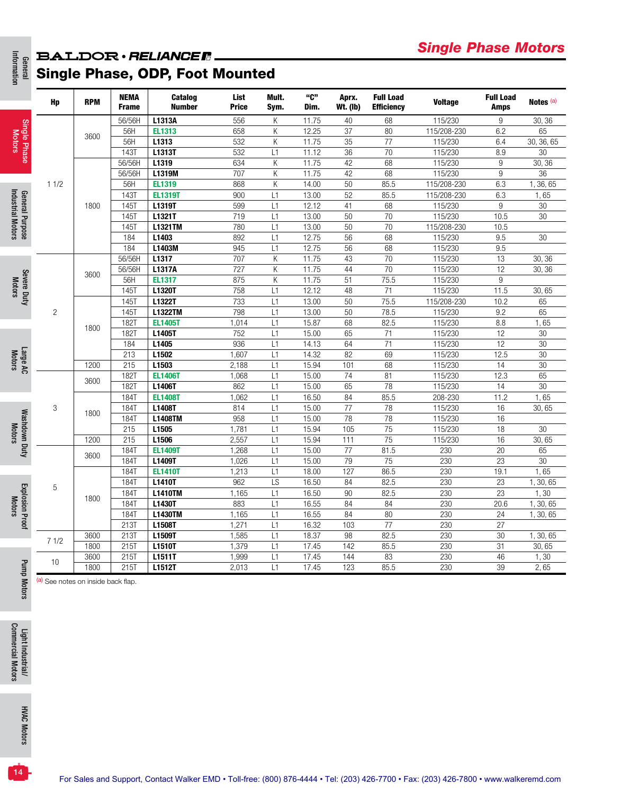### General<br>Information **BALDOR** · RELIANCER. Single Phase, ODP, Foot Mounted

|                                         | Hp             | <b>RPM</b> | <b>NEMA</b><br><b>Frame</b> | Catalog<br><b>Number</b> | List<br><b>Price</b> | Mult.<br>Sym. | "C"<br>Dim. | Aprx.<br><b>Wt. (Ib)</b> | <b>Full Load</b><br><b>Efficiency</b> | <b>Voltage</b> | <b>Full Load</b><br><b>Amps</b> | Notes <sup>(a)</sup> |
|-----------------------------------------|----------------|------------|-----------------------------|--------------------------|----------------------|---------------|-------------|--------------------------|---------------------------------------|----------------|---------------------------------|----------------------|
|                                         |                |            | 56/56H                      | L1313A                   | 556                  | К             | 11.75       | 40                       | 68                                    | 115/230        | 9                               | 30, 36               |
| Single Phase<br>Motors                  |                |            | 56H                         | EL1313                   | 658                  | K             | 12.25       | 37                       | 80                                    | 115/208-230    | 6.2                             | 65                   |
|                                         |                | 3600       | 56H                         | L1313                    | 532                  | Κ             | 11.75       | 35                       | 77                                    | 115/230        | 6.4                             | 30, 36, 65           |
|                                         |                |            | <b>143T</b>                 | L1313T                   | 532                  | L1            | 11.12       | 36                       | 70                                    | 115/230        | 8.9                             | 30                   |
|                                         |                |            | 56/56H                      | L1319                    | 634                  | К             | 11.75       | 42                       | 68                                    | 115/230        | 9                               | 30, 36               |
|                                         |                |            | 56/56H                      | L1319M                   | 707                  | Κ             | 11.75       | 42                       | 68                                    | 115/230        | 9                               | $\overline{36}$      |
|                                         | 11/2           |            | 56H                         | EL1319                   | 868                  | K             | 14.00       | 50                       | 85.5                                  | 115/208-230    | 6.3                             | 1, 36, 65            |
| General Purpose<br>Industrial Motors    |                |            | 1431                        | <b>EL1319T</b>           | 900                  | L1            | 13.00       | 52                       | 85.5                                  | 115/208-230    | 6.3                             | 1,65                 |
|                                         |                | 1800       | 145T                        | L1319T                   | 599                  | L1            | 12.12       | 41                       | 68                                    | 115/230        | 9                               | $\overline{30}$      |
|                                         |                |            | 145T                        | L1321T                   | 719                  | L1            | 13.00       | 50                       | 70                                    | 115/230        | 10.5                            | 30                   |
|                                         |                |            | 145T                        | L1321TM                  | 780                  | L1            | 13.00       | 50                       | 70                                    | 115/208-230    | 10.5                            |                      |
|                                         |                |            | 184                         | L1403                    | 892                  | L1            | 12.75       | 56                       | 68                                    | 115/230        | 9.5                             | 30                   |
|                                         |                |            | 184                         | L1403M                   | 945                  | L1            | 12.75       | 56                       | 68                                    | 115/230        | 9.5                             |                      |
|                                         |                |            | 56/56H                      | L1317                    | 707                  | K             | 11.75       | 43                       | 70                                    | 115/230        | 13                              | 30, 36               |
|                                         |                | 3600       | 56/56H                      | L1317A                   | 727                  | K             | 11.75       | 44                       | 70                                    | 115/230        | 12                              | 30, 36               |
| Severe Duty<br>Motors                   |                |            | 56H                         | <b>EL1317</b>            | 875                  | K             | 11.75       | 51                       | 75.5                                  | 115/230        | 9                               |                      |
|                                         |                |            | 145T                        | L1320T                   | 758                  | L1            | 12.12       | 48                       | 71                                    | 115/230        | 11.5                            | 30,65                |
|                                         |                |            | 145T                        | L1322T                   | 733                  | L1            | 13.00       | 50                       | 75.5                                  | 115/208-230    | 10.2                            | 65                   |
|                                         | $\overline{2}$ |            | 145T                        | <b>L1322TM</b>           | 798                  | L1            | 13.00       | 50                       | 78.5                                  | 115/230        | 9.2                             | 65                   |
|                                         |                |            | <b>182T</b>                 | <b>EL1405T</b>           | 1,014                | L1            | 15.87       | 68                       | 82.5                                  | 115/230        | 8.8                             | 1,65                 |
|                                         |                | 1800       | 182T                        | L1405T                   | 752                  | L1            | 15.00       | 65                       | 71                                    | 115/230        | 12                              | 30                   |
|                                         |                |            | 184                         | L1405                    | 936                  | L1            | 14.13       | 64                       | 71                                    | 115/230        | 12                              | 30                   |
| Large AC<br>Motors                      |                |            | $\overline{213}$            | L1502                    | 1,607                | L1            | 14.32       | $\overline{82}$          | 69                                    | 115/230        | 12.5                            | $\overline{30}$      |
|                                         |                | 1200       | 215                         | L1503                    | 2,188                | L1            | 15.94       | 101                      | 68                                    | 115/230        | 14                              | 30                   |
|                                         |                | 3600       | <b>182T</b>                 | <b>EL1406T</b>           | 1,068                | L1            | 15.00       | 74                       | 81                                    | 115/230        | 12.3                            | 65                   |
|                                         |                |            | 182T                        | L1406T                   | 862                  | L1            | 15.00       | 65                       | 78                                    | 115/230        | 14                              | $\overline{30}$      |
|                                         |                |            | 184T                        | <b>EL1408T</b>           | 1,062                | L1            | 16.50       | 84                       | 85.5                                  | 208-230        | 11.2                            | 1,65                 |
|                                         | 3              | 1800       | 184T                        | L1408T                   | 814                  | L1            | 15.00       | 77                       | 78                                    | 115/230        | 16                              | 30,65                |
|                                         |                |            | 184T                        | L1408TM                  | 958                  | L1            | 15.00       | 78                       | 78                                    | 115/230        | 16                              |                      |
| <b>Motors</b>                           |                |            | 215                         | L1505                    | 1,781                | L1            | 15.94       | 105                      | $\overline{75}$                       | 115/230        | 18                              | 30                   |
| Washdown Duty                           |                | 1200       | 215                         | L1506                    | 2,557                | L1            | 15.94       | 111                      | 75                                    | 115/230        | 16                              | 30,65                |
|                                         |                | 3600       | <b>184T</b>                 | <b>EL1409T</b>           | 1,268                | $\lfloor 1$   | 15.00       | 77                       | 81.5                                  | 230            | 20                              | 65                   |
|                                         |                |            | <b>184T</b>                 | L1409T                   | 1,026                | L1            | 15.00       | 79                       | 75                                    | 230            | 23                              | 30                   |
|                                         |                |            | 184T                        | <b>EL1410T</b>           | 1,213                | L1            | 18.00       | 127                      | 86.5                                  | 230            | 19.1                            | 1,65                 |
|                                         | 5              |            | 184T                        | L1410T                   | 962                  | LS            | 16.50       | 84                       | 82.5                                  | 230            | 23                              | 1, 30, 65            |
|                                         |                | 1800       | <b>184T</b>                 | <b>L1410TM</b>           | 1,165                | L1            | 16.50       | 90                       | 82.5                                  | 230            | 23                              | 1, 30                |
| <b>Explosion Proof</b><br><b>Motors</b> |                |            | <b>184T</b>                 | L1430T                   | 883                  | L1            | 16.55       | 84                       | 84                                    | 230            | 20.6                            | 1, 30, 65            |
|                                         |                |            | 184T                        | <b>L1430TM</b>           | 1,165                | L1            | 16.55       | 84                       | 80                                    | 230            | 24                              | 1, 30, 65            |
|                                         |                |            | 213T                        | L1508T                   | 1,271                | L1            | 16.32       | 103                      | 77                                    | 230            | 27                              |                      |
|                                         | 71/2           | 3600       | 213T                        | L1509T                   | 1,585                | L1            | 18.37       | 98                       | 82.5                                  | 230            | 30                              | 1, 30, 65            |
|                                         |                | 1800       | 215T                        | L1510T                   | 1,379                | L1            | 17.45       | 142                      | 85.5                                  | 230            | $\overline{31}$                 | 30,65                |
|                                         | 10             | 3600       | 215T                        | L1511T                   | 1,999                | L1            | 17.45       | 144                      | 83                                    | 230            | 46                              | 1,30                 |
| Pum                                     |                | 1800       | 215T                        | L1512T                   | 2,013                | L1            | 17.45       | 123                      | 85.5                                  | 230            | 39                              | 2,65                 |

Pump Motors (a) See notes on inside back flap.

Information